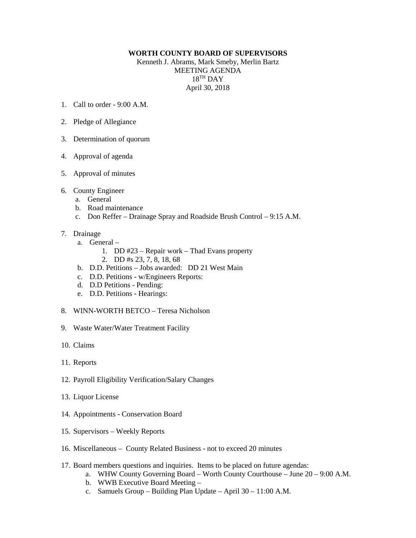## **WORTH COUNTY BOARD OF SUPERVISORS**

Kenneth J. Abrams, Mark Smeby, Merlin Bartz MEETING AGENDA  $18<sup>TH</sup>$  DAY April 30, 2018

- 1. Call to order 9:00 A.M.
- 2. Pledge of Allegiance
- 3. Determination of quorum
- 4. Approval of agenda
- 5. Approval of minutes
- 6. County Engineer
	- a. General
	- b. Road maintenance
	- c. Don Reffer Drainage Spray and Roadside Brush Control 9:15 A.M.
- 7. Drainage
	- a. General
		- 1. DD #23 Repair work Thad Evans property
		- 2. DD #s 23, 7, 8, 18, 68
	- b. D.D. Petitions Jobs awarded: DD 21 West Main
	- c. D.D. Petitions w/Engineers Reports:
	- d. D.D Petitions Pending:
	- e. D.D. Petitions Hearings:
- 8. WINN-WORTH BETCO Teresa Nicholson
- 9. Waste Water/Water Treatment Facility
- 10. Claims
- 11. Reports
- 12. Payroll Eligibility Verification/Salary Changes
- 13. Liquor License
- 14. Appointments Conservation Board
- 15. Supervisors Weekly Reports
- 16. Miscellaneous County Related Business not to exceed 20 minutes
- 17. Board members questions and inquiries. Items to be placed on future agendas:
	- a. WHW County Governing Board Worth County Courthouse June 20 9:00 A.M.
	- b. WWB Executive Board Meeting –
	- c. Samuels Group Building Plan Update April 30 11:00 A.M.